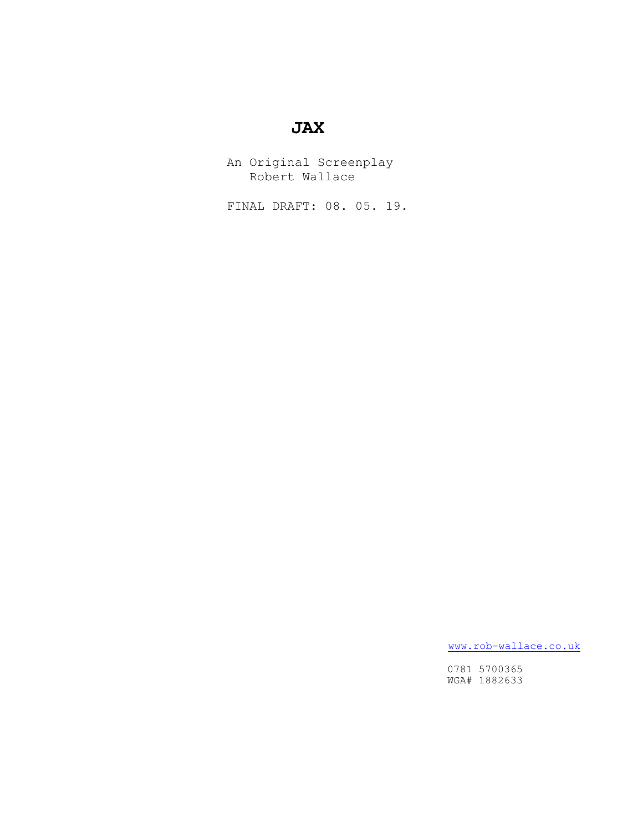# **JAX**

 An Original Screenplay Robert Wallace

FINAL DRAFT: 08. 05. 19.

[www.rob-wallace.co.uk](http://www.rob-wallace.co.uk)

 0781 5700365 WGA# 1882633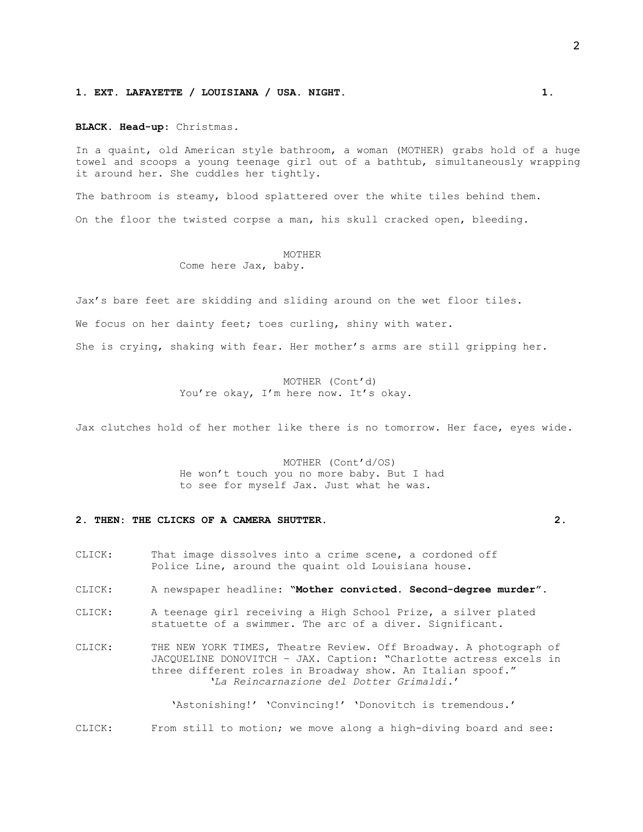#### **1. EXT. LAFAYETTE / LOUISIANA / USA. NIGHT. 1.**

#### **BLACK. Head-up**: Christmas.

In a quaint, old American style bathroom, a woman (MOTHER) grabs hold of a huge towel and scoops a young teenage girl out of a bathtub, simultaneously wrapping it around her. She cuddles her tightly.

The bathroom is steamy, blood splattered over the white tiles behind them.

On the floor the twisted corpse a man, his skull cracked open, bleeding.

#### MOTHER Come here Jax, baby.

Jax's bare feet are skidding and sliding around on the wet floor tiles.

We focus on her dainty feet; toes curling, shiny with water.

She is crying, shaking with fear. Her mother's arms are still gripping her.

# MOTHER (Cont'd) You're okay, I'm here now. It's okay.

Jax clutches hold of her mother like there is no tomorrow. Her face, eyes wide.

### MOTHER (Cont'd/OS) He won't touch you no more baby. But I had to see for myself Jax. Just what he was.

# **2. THEN: THE CLICKS OF A CAMERA SHUTTER. 2.**

- CLICK: That image dissolves into a crime scene, a cordoned off Police Line, around the quaint old Louisiana house.
- CLICK: A newspaper headline: **"Mother convicted. Second-degree murder".**
- CLICK: A teenage girl receiving a High School Prize, a silver plated statuette of a swimmer. The arc of a diver. Significant.
- CLICK: THE NEW YORK TIMES, Theatre Review. Off Broadway. A photograph of JACQUELINE DONOVITCH – JAX. Caption: "Charlotte actress excels in three different roles in Broadway show. An Italian spoof." *'La Reincarnazione del Dotter Grimaldi.*'

 'Astonishing!' 'Convincing!' 'Donovitch is tremendous.' CLICK: From still to motion; we move along a high-diving board and see: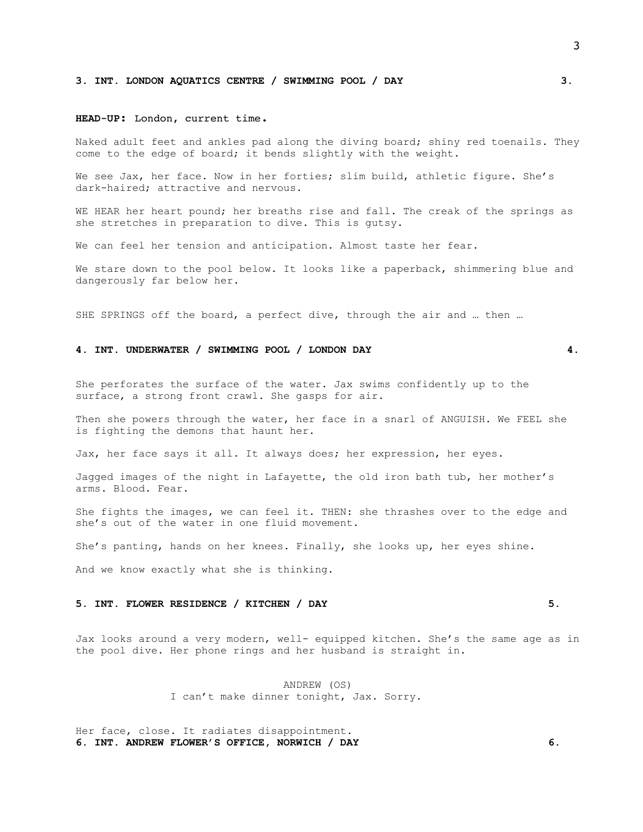#### **3. INT. LONDON AQUATICS CENTRE / SWIMMING POOL / DAY 3.**

#### **HEAD-UP**: London, current time.

Naked adult feet and ankles pad along the diving board; shiny red toenails. They come to the edge of board; it bends slightly with the weight.

We see Jax, her face. Now in her forties; slim build, athletic figure. She's dark-haired; attractive and nervous.

WE HEAR her heart pound; her breaths rise and fall. The creak of the springs as she stretches in preparation to dive. This is gutsy.

We can feel her tension and anticipation. Almost taste her fear.

We stare down to the pool below. It looks like a paperback, shimmering blue and dangerously far below her.

SHE SPRINGS off the board, a perfect dive, through the air and … then …

#### **4. INT. UNDERWATER / SWIMMING POOL / LONDON DAY 4.**

She perforates the surface of the water. Jax swims confidently up to the surface, a strong front crawl. She gasps for air.

Then she powers through the water, her face in a snarl of ANGUISH. We FEEL she is fighting the demons that haunt her.

Jax, her face says it all. It always does; her expression, her eyes.

Jagged images of the night in Lafayette, the old iron bath tub, her mother's arms. Blood. Fear.

She fights the images, we can feel it. THEN: she thrashes over to the edge and she's out of the water in one fluid movement.

She's panting, hands on her knees. Finally, she looks up, her eyes shine.

And we know exactly what she is thinking.

#### **5. INT. FLOWER RESIDENCE / KITCHEN / DAY 5.**

Jax looks around a very modern, well- equipped kitchen. She's the same age as in the pool dive. Her phone rings and her husband is straight in.

> ANDREW (OS) I can't make dinner tonight, Jax. Sorry.

Her face, close. It radiates disappointment. **6. INT. ANDREW FLOWER'S OFFICE, NORWICH / DAY 6.** 3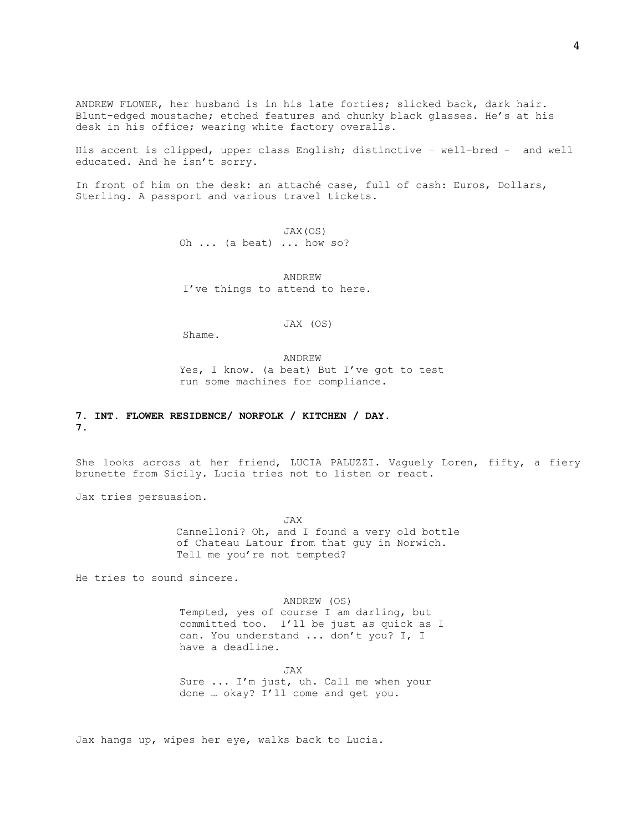ANDREW FLOWER, her husband is in his late forties; slicked back, dark hair. Blunt-edged moustache; etched features and chunky black glasses. He's at his desk in his office; wearing white factory overalls.

His accent is clipped, upper class English; distinctive – well-bred - and well educated. And he isn't sorry.

In front of him on the desk**:** an attaché case, full of cash: Euros, Dollars, Sterling. A passport and various travel tickets.

> JAX(OS) Oh ... (a beat) ... how so?

ANDREW I've things to attend to here.

JAX (OS)

Shame.

ANDREW Yes, I know. (a beat) But I've got to test run some machines for compliance.

# **7. INT. FLOWER RESIDENCE/ NORFOLK / KITCHEN / DAY. 7.**

She looks across at her friend, LUCIA PALUZZI. Vaguely Loren, fifty, a fiery brunette from Sicily. Lucia tries not to listen or react.

Jax tries persuasion.

JAX Cannelloni? Oh, and I found a very old bottle of Chateau Latour from that guy in Norwich. Tell me you're not tempted?

He tries to sound sincere.

ANDREW (OS) Tempted, yes of course I am darling, but committed too. I'll be just as quick as I can. You understand ... don't you? I, I have a deadline.

JAX Sure ... I'm just, uh. Call me when your done … okay? I'll come and get you.

Jax hangs up, wipes her eye, walks back to Lucia.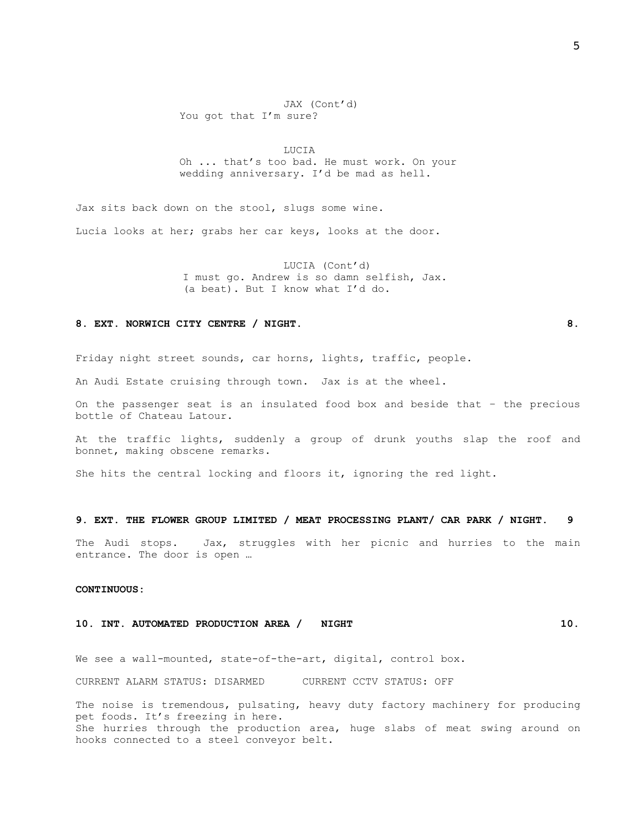### JAX (Cont'd) You got that I'm sure?

LUCIA Oh ... that's too bad. He must work. On your wedding anniversary. I'd be mad as hell.

Jax sits back down on the stool, slugs some wine. Lucia looks at her; grabs her car keys, looks at the door.

> LUCIA (Cont'd) I must go. Andrew is so damn selfish, Jax. (a beat). But I know what I'd do.

#### 8. EXT. NORWICH CITY CENTRE / NIGHT. **8. 8.**

Friday night street sounds, car horns, lights, traffic, people.

An Audi Estate cruising through town. Jax is at the wheel.

On the passenger seat is an insulated food box and beside that – the precious bottle of Chateau Latour.

At the traffic lights, suddenly a group of drunk youths slap the roof and bonnet, making obscene remarks.

She hits the central locking and floors it, ignoring the red light.

### **9. EXT. THE FLOWER GROUP LIMITED / MEAT PROCESSING PLANT/ CAR PARK / NIGHT. 9**

The Audi stops. Jax, struggles with her picnic and hurries to the main entrance. The door is open …

#### **CONTINUOUS:**

#### **10. INT. AUTOMATED PRODUCTION AREA / NIGHT 10.**

We see a wall-mounted, state-of-the-art, digital, control box.

CURRENT ALARM STATUS: DISARMED CURRENT CCTV STATUS: OFF

The noise is tremendous, pulsating, heavy duty factory machinery for producing pet foods. It's freezing in here. She hurries through the production area, huge slabs of meat swing around on hooks connected to a steel conveyor belt.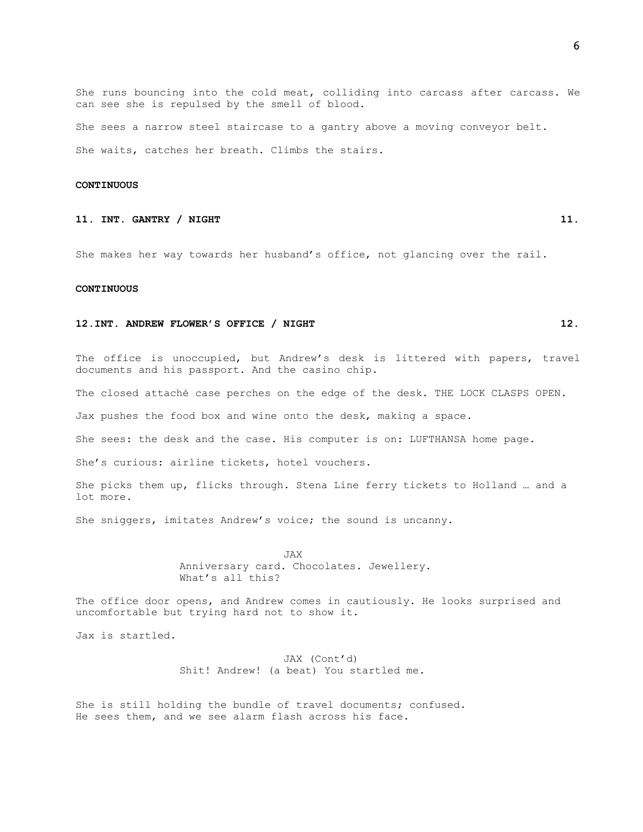She runs bouncing into the cold meat, colliding into carcass after carcass. We can see she is repulsed by the smell of blood.

She sees a narrow steel staircase to a gantry above a moving conveyor belt. She waits, catches her breath. Climbs the stairs.

#### **CONTINUOUS**

# **11. INT. GANTRY / NIGHT 11. 11.**

She makes her way towards her husband's office, not glancing over the rail.

### **CONTINUOUS**

#### **12.INT. ANDREW FLOWER'S OFFICE / NIGHT 12.**

The office is unoccupied, but Andrew's desk is littered with papers, travel documents and his passport. And the casino chip.

The closed attaché case perches on the edge of the desk. THE LOCK CLASPS OPEN.

Jax pushes the food box and wine onto the desk, making a space.

She sees: the desk and the case. His computer is on: LUFTHANSA home page.

She's curious: airline tickets, hotel vouchers.

She picks them up, flicks through. Stena Line ferry tickets to Holland … and a lot more.

She sniggers, imitates Andrew's voice; the sound is uncanny.

JAX Anniversary card. Chocolates. Jewellery. What's all this?

The office door opens, and Andrew comes in cautiously. He looks surprised and uncomfortable but trying hard not to show it.

Jax is startled.

JAX (Cont'd) Shit! Andrew! (a beat) You startled me.

She is still holding the bundle of travel documents; confused. He sees them, and we see alarm flash across his face.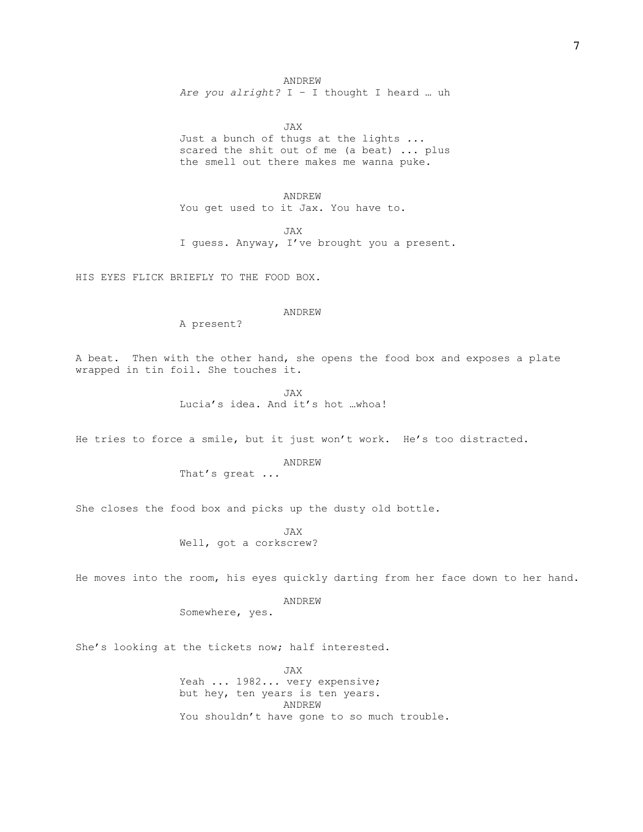ANDREW

*Are you alright?* I – I thought I heard … uh

JAX Just a bunch of thugs at the lights ... scared the shit out of me (a beat) ... plus the smell out there makes me wanna puke.

ANDREW You get used to it Jax. You have to.

JAX I guess. Anyway, I've brought you a present.

HIS EYES FLICK BRIEFLY TO THE FOOD BOX.

# ANDREW

A present?

A beat. Then with the other hand, she opens the food box and exposes a plate wrapped in tin foil. She touches it.

> JAX Lucia's idea. And it's hot …whoa!

He tries to force a smile, but it just won't work. He's too distracted.

ANDREW That's great ...

She closes the food box and picks up the dusty old bottle.

JAX Well, got a corkscrew?

He moves into the room, his eyes quickly darting from her face down to her hand.

ANDREW Somewhere, yes.

She's looking at the tickets now; half interested.

JAX Yeah ... 1982... very expensive; but hey, ten years is ten years. ANDREW You shouldn't have gone to so much trouble.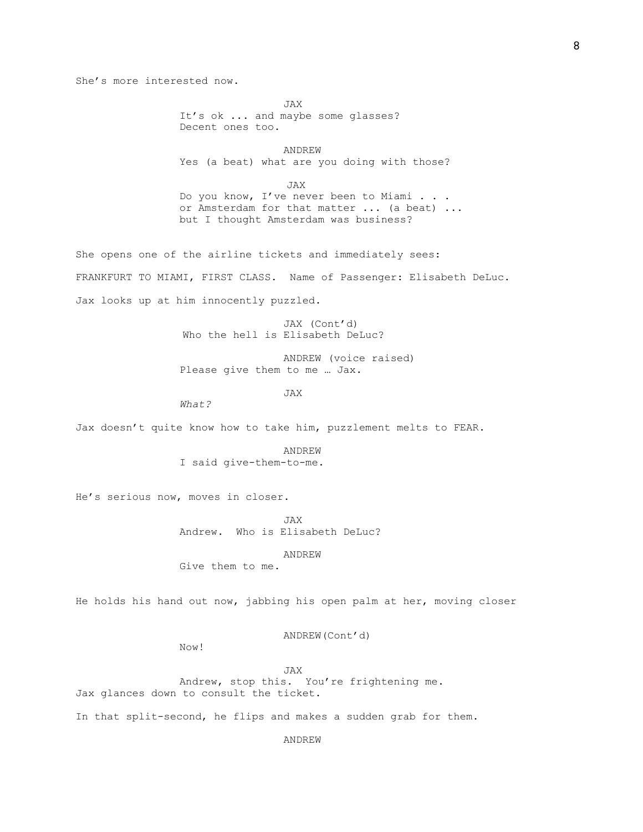She's more interested now.

JAX It's ok ... and maybe some glasses? Decent ones too.

ANDREW Yes (a beat) what are you doing with those?

 JAX Do you know, I've never been to Miami . . . or Amsterdam for that matter ... (a beat) ... but I thought Amsterdam was business?

She opens one of the airline tickets and immediately sees: FRANKFURT TO MIAMI, FIRST CLASS. Name of Passenger: Elisabeth DeLuc. Jax looks up at him innocently puzzled.

> JAX (Cont'd) Who the hell is Elisabeth DeLuc?

ANDREW (voice raised) Please give them to me … Jax.

JAX

*What?*

Jax doesn't quite know how to take him, puzzlement melts to FEAR.

ANDREW I said give-them-to-me.

He's serious now, moves in closer.

JAX Andrew. Who is Elisabeth DeLuc?

ANDREW

Give them to me.

He holds his hand out now, jabbing his open palm at her, moving closer

ANDREW(Cont'd)

Now!

JAX Andrew, stop this. You're frightening me. Jax glances down to consult the ticket.

In that split-second, he flips and makes a sudden grab for them.

ANDREW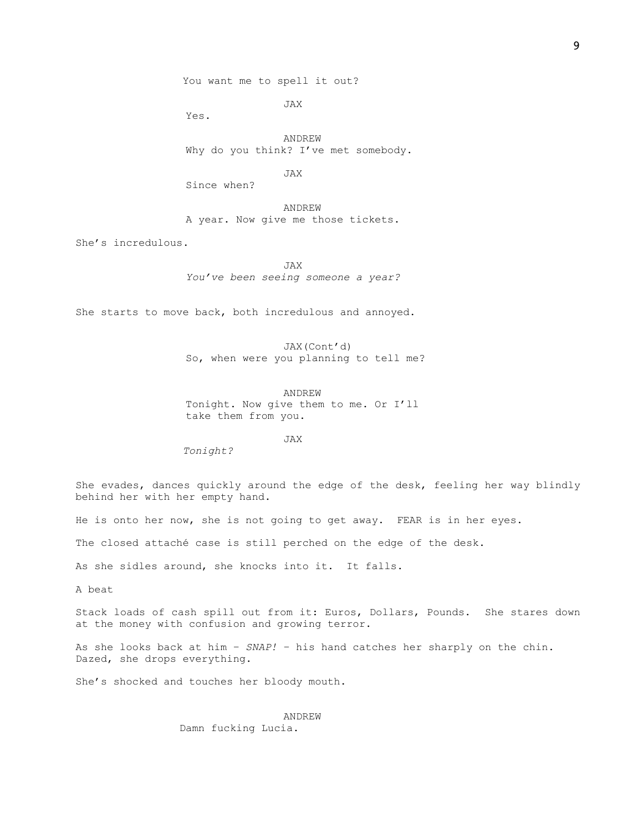You want me to spell it out?

JAX

Yes.

ANDREW Why do you think? I've met somebody.

JAX

Since when?

ANDREW A year. Now give me those tickets.

She's incredulous.

JAX *You've been seeing someone a year?* 

She starts to move back, both incredulous and annoyed.

JAX(Cont'd) So, when were you planning to tell me?

ANDREW Tonight. Now give them to me. Or I'll take them from you.

JAX

*Tonight?* 

She evades, dances quickly around the edge of the desk, feeling her way blindly behind her with her empty hand.

He is onto her now, she is not going to get away. FEAR is in her eyes.

The closed attaché case is still perched on the edge of the desk.

As she sidles around, she knocks into it. It falls.

A beat

Stack loads of cash spill out from it: Euros, Dollars, Pounds. She stares down at the money with confusion and growing terror.

As she looks back at him – *SNAP!* – his hand catches her sharply on the chin. Dazed, she drops everything.

She's shocked and touches her bloody mouth.

ANDREW Damn fucking Lucia.